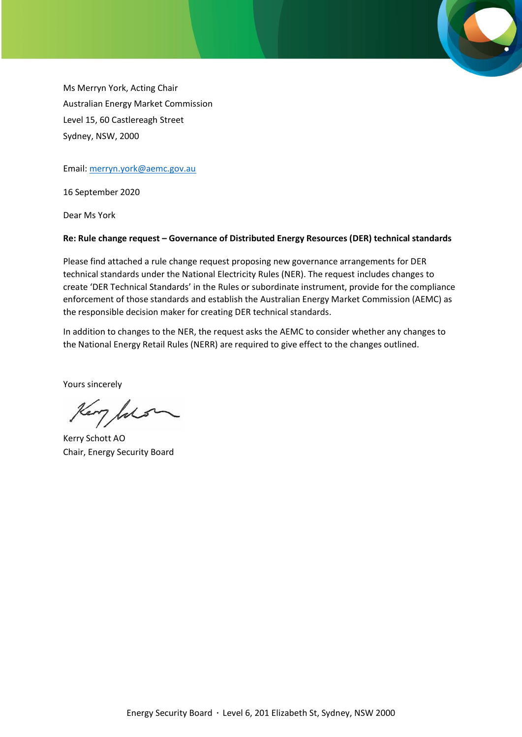Ms Merryn York, Acting Chair Australian Energy Market Commission Level 15, 60 Castlereagh Street Sydney, NSW, 2000

Email: [merryn.york@aemc.gov.au](mailto:merryn.york@aemc.gov.au)

16 September 2020

Dear Ms York

#### **Re: Rule change request – Governance of Distributed Energy Resources (DER) technical standards**

Please find attached a rule change request proposing new governance arrangements for DER technical standards under the National Electricity Rules (NER). The request includes changes to create 'DER Technical Standards' in the Rules or subordinate instrument, provide for the compliance enforcement of those standards and establish the Australian Energy Market Commission (AEMC) as the responsible decision maker for creating DER technical standards.

In addition to changes to the NER, the request asks the AEMC to consider whether any changes to the National Energy Retail Rules (NERR) are required to give effect to the changes outlined.

Yours sincerely

Kery Julian

Kerry Schott AO Chair, Energy Security Board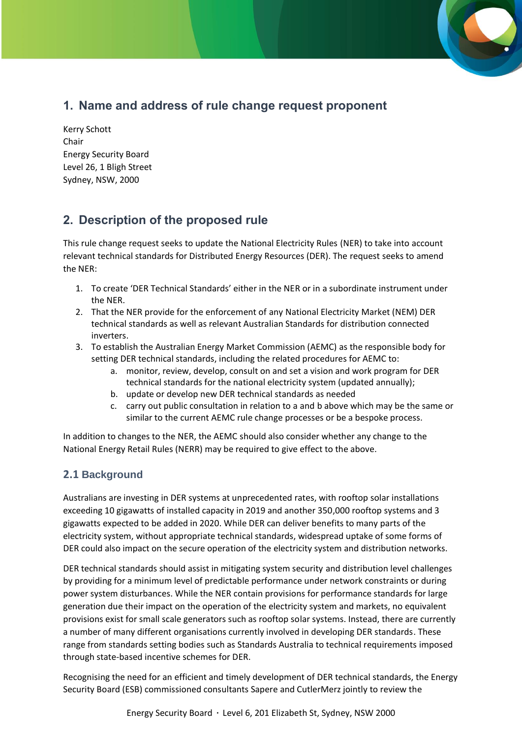# **1. Name and address of rule change request proponent**

Kerry Schott Chair Energy Security Board Level 26, 1 Bligh Street Sydney, NSW, 2000

# **2. Description of the proposed rule**

This rule change request seeks to update the National Electricity Rules (NER) to take into account relevant technical standards for Distributed Energy Resources (DER). The request seeks to amend the NER:

- 1. To create 'DER Technical Standards' either in the NER or in a subordinate instrument under the NER.
- 2. That the NER provide for the enforcement of any National Electricity Market (NEM) DER technical standards as well as relevant Australian Standards for distribution connected inverters.
- 3. To establish the Australian Energy Market Commission (AEMC) as the responsible body for setting DER technical standards, including the related procedures for AEMC to:
	- a. monitor, review, develop, consult on and set a vision and work program for DER technical standards for the national electricity system (updated annually);
	- b. update or develop new DER technical standards as needed
	- c. carry out public consultation in relation to a and b above which may be the same or similar to the current AEMC rule change processes or be a bespoke process.

In addition to changes to the NER, the AEMC should also consider whether any change to the National Energy Retail Rules (NERR) may be required to give effect to the above.

# **2.1 Background**

Australians are investing in DER systems at unprecedented rates, with rooftop solar installations exceeding 10 gigawatts of installed capacity in 2019 and another 350,000 rooftop systems and 3 gigawatts expected to be added in 2020. While DER can deliver benefits to many parts of the electricity system, without appropriate technical standards, widespread uptake of some forms of DER could also impact on the secure operation of the electricity system and distribution networks.

DER technical standards should assist in mitigating system security and distribution level challenges by providing for a minimum level of predictable performance under network constraints or during power system disturbances. While the NER contain provisions for performance standards for large generation due their impact on the operation of the electricity system and markets, no equivalent provisions exist for small scale generators such as rooftop solar systems. Instead, there are currently a number of many different organisations currently involved in developing DER standards. These range from standards setting bodies such as Standards Australia to technical requirements imposed through state-based incentive schemes for DER.

Recognising the need for an efficient and timely development of DER technical standards, the Energy Security Board (ESB) commissioned consultants Sapere and CutlerMerz jointly to review the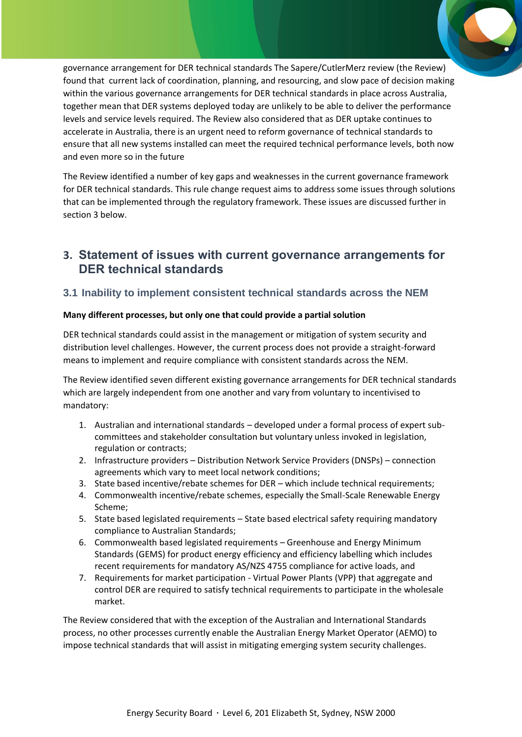governance arrangement for DER technical standards The Sapere/CutlerMerz review (the Review) found that current lack of coordination, planning, and resourcing, and slow pace of decision making within the various governance arrangements for DER technical standards in place across Australia, together mean that DER systems deployed today are unlikely to be able to deliver the performance levels and service levels required. The Review also considered that as DER uptake continues to accelerate in Australia, there is an urgent need to reform governance of technical standards to ensure that all new systems installed can meet the required technical performance levels, both now and even more so in the future

The Review identified a number of key gaps and weaknesses in the current governance framework for DER technical standards. This rule change request aims to address some issues through solutions that can be implemented through the regulatory framework. These issues are discussed further in section 3 below.

# **3. Statement of issues with current governance arrangements for DER technical standards**

### **3.1 Inability to implement consistent technical standards across the NEM**

#### **Many different processes, but only one that could provide a partial solution**

DER technical standards could assist in the management or mitigation of system security and distribution level challenges. However, the current process does not provide a straight-forward means to implement and require compliance with consistent standards across the NEM.

The Review identified seven different existing governance arrangements for DER technical standards which are largely independent from one another and vary from voluntary to incentivised to mandatory:

- 1. Australian and international standards developed under a formal process of expert subcommittees and stakeholder consultation but voluntary unless invoked in legislation, regulation or contracts;
- 2. Infrastructure providers Distribution Network Service Providers (DNSPs) connection agreements which vary to meet local network conditions;
- 3. State based incentive/rebate schemes for DER which include technical requirements;
- 4. Commonwealth incentive/rebate schemes, especially the Small-Scale Renewable Energy Scheme;
- 5. State based legislated requirements State based electrical safety requiring mandatory compliance to Australian Standards;
- 6. Commonwealth based legislated requirements Greenhouse and Energy Minimum Standards (GEMS) for product energy efficiency and efficiency labelling which includes recent requirements for mandatory AS/NZS 4755 compliance for active loads, and
- 7. Requirements for market participation Virtual Power Plants (VPP) that aggregate and control DER are required to satisfy technical requirements to participate in the wholesale market.

The Review considered that with the exception of the Australian and International Standards process, no other processes currently enable the Australian Energy Market Operator (AEMO) to impose technical standards that will assist in mitigating emerging system security challenges.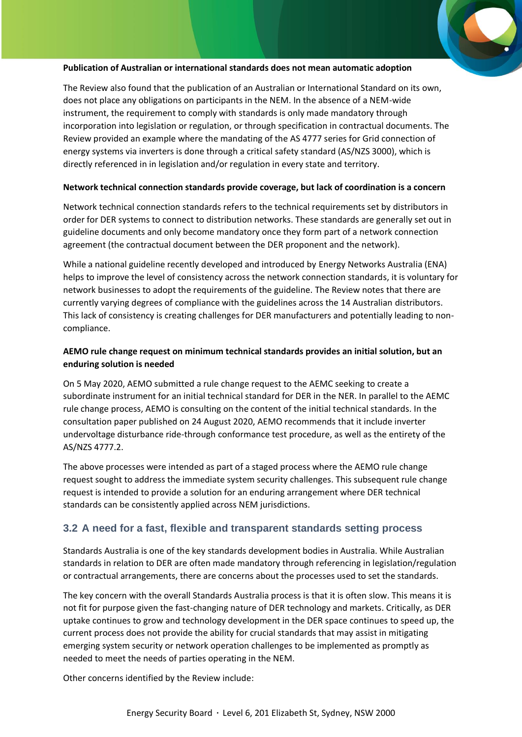#### **Publication of Australian or international standards does not mean automatic adoption**

The Review also found that the publication of an Australian or International Standard on its own, does not place any obligations on participants in the NEM. In the absence of a NEM-wide instrument, the requirement to comply with standards is only made mandatory through incorporation into legislation or regulation, or through specification in contractual documents. The Review provided an example where the mandating of the AS 4777 series for Grid connection of energy systems via inverters is done through a critical safety standard (AS/NZS 3000), which is directly referenced in in legislation and/or regulation in every state and territory.

#### **Network technical connection standards provide coverage, but lack of coordination is a concern**

Network technical connection standards refers to the technical requirements set by distributors in order for DER systems to connect to distribution networks. These standards are generally set out in guideline documents and only become mandatory once they form part of a network connection agreement (the contractual document between the DER proponent and the network).

While a national guideline recently developed and introduced by Energy Networks Australia (ENA) helps to improve the level of consistency across the network connection standards, it is voluntary for network businesses to adopt the requirements of the guideline. The Review notes that there are currently varying degrees of compliance with the guidelines across the 14 Australian distributors. This lack of consistency is creating challenges for DER manufacturers and potentially leading to noncompliance.

### **AEMO rule change request on minimum technical standards provides an initial solution, but an enduring solution is needed**

On 5 May 2020, AEMO submitted a rule change request to the AEMC seeking to create a subordinate instrument for an initial technical standard for DER in the NER. In parallel to the AEMC rule change process, AEMO is consulting on the content of the initial technical standards. In the consultation paper published on 24 August 2020, AEMO recommends that it include inverter undervoltage disturbance ride-through conformance test procedure, as well as the entirety of the AS/NZS 4777.2.

The above processes were intended as part of a staged process where the AEMO rule change request sought to address the immediate system security challenges. This subsequent rule change request is intended to provide a solution for an enduring arrangement where DER technical standards can be consistently applied across NEM jurisdictions.

## **3.2 A need for a fast, flexible and transparent standards setting process**

Standards Australia is one of the key standards development bodies in Australia. While Australian standards in relation to DER are often made mandatory through referencing in legislation/regulation or contractual arrangements, there are concerns about the processes used to set the standards.

The key concern with the overall Standards Australia process is that it is often slow. This means it is not fit for purpose given the fast-changing nature of DER technology and markets. Critically, as DER uptake continues to grow and technology development in the DER space continues to speed up, the current process does not provide the ability for crucial standards that may assist in mitigating emerging system security or network operation challenges to be implemented as promptly as needed to meet the needs of parties operating in the NEM.

Other concerns identified by the Review include: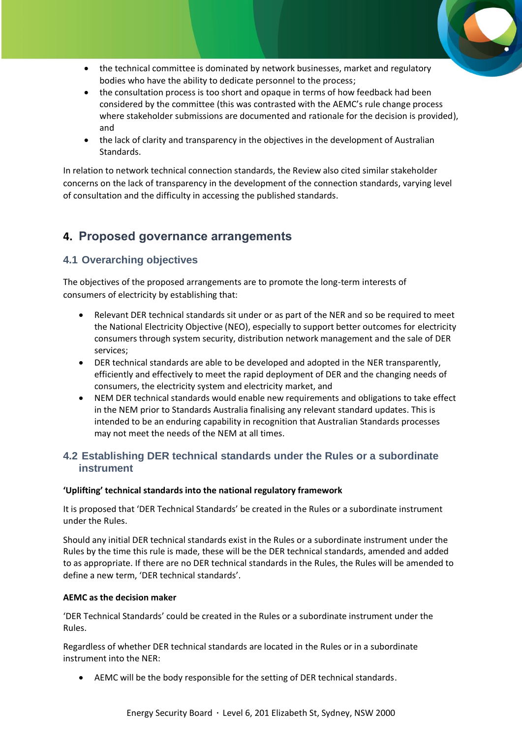- the technical committee is dominated by network businesses, market and regulatory bodies who have the ability to dedicate personnel to the process;
- the consultation process is too short and opaque in terms of how feedback had been considered by the committee (this was contrasted with the AEMC's rule change process where stakeholder submissions are documented and rationale for the decision is provided), and
- the lack of clarity and transparency in the objectives in the development of Australian Standards.

In relation to network technical connection standards, the Review also cited similar stakeholder concerns on the lack of transparency in the development of the connection standards, varying level of consultation and the difficulty in accessing the published standards.

# **4. Proposed governance arrangements**

# **4.1 Overarching objectives**

The objectives of the proposed arrangements are to promote the long-term interests of consumers of electricity by establishing that:

- Relevant DER technical standards sit under or as part of the NER and so be required to meet the National Electricity Objective (NEO), especially to support better outcomes for electricity consumers through system security, distribution network management and the sale of DER services;
- DER technical standards are able to be developed and adopted in the NER transparently, efficiently and effectively to meet the rapid deployment of DER and the changing needs of consumers, the electricity system and electricity market, and
- NEM DER technical standards would enable new requirements and obligations to take effect in the NEM prior to Standards Australia finalising any relevant standard updates. This is intended to be an enduring capability in recognition that Australian Standards processes may not meet the needs of the NEM at all times.

## **4.2 Establishing DER technical standards under the Rules or a subordinate instrument**

### **'Uplifting' technical standards into the national regulatory framework**

It is proposed that 'DER Technical Standards' be created in the Rules or a subordinate instrument under the Rules.

Should any initial DER technical standards exist in the Rules or a subordinate instrument under the Rules by the time this rule is made, these will be the DER technical standards, amended and added to as appropriate. If there are no DER technical standards in the Rules, the Rules will be amended to define a new term, 'DER technical standards'.

### **AEMC as the decision maker**

'DER Technical Standards' could be created in the Rules or a subordinate instrument under the Rules.

Regardless of whether DER technical standards are located in the Rules or in a subordinate instrument into the NER:

• AEMC will be the body responsible for the setting of DER technical standards.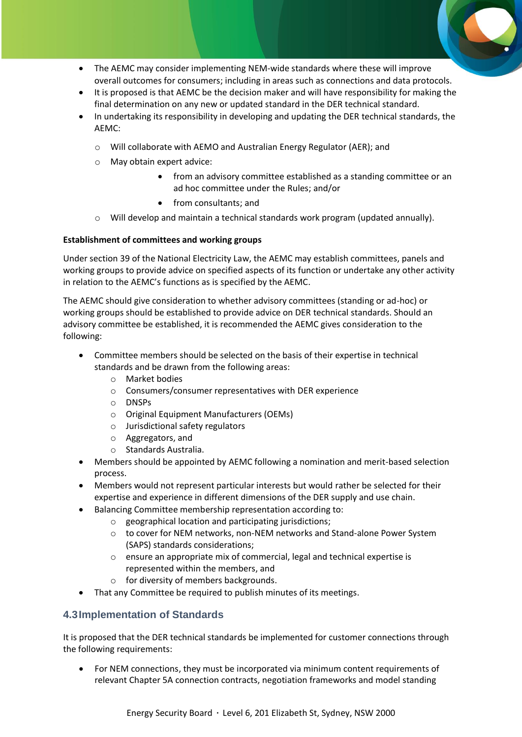- The AEMC may consider implementing NEM-wide standards where these will improve overall outcomes for consumers; including in areas such as connections and data protocols.
- It is proposed is that AEMC be the decision maker and will have responsibility for making the final determination on any new or updated standard in the DER technical standard.
- In undertaking its responsibility in developing and updating the DER technical standards, the AEMC:
	- o Will collaborate with AEMO and Australian Energy Regulator (AER); and
	- o May obtain expert advice:
		- from an advisory committee established as a standing committee or an ad hoc committee under the Rules; and/or
		- from consultants; and
	- $\circ$  Will develop and maintain a technical standards work program (updated annually).

#### **Establishment of committees and working groups**

Under section 39 of the National Electricity Law, the AEMC may establish committees, panels and working groups to provide advice on specified aspects of its function or undertake any other activity in relation to the AEMC's functions as is specified by the AEMC.

The AEMC should give consideration to whether advisory committees (standing or ad-hoc) or working groups should be established to provide advice on DER technical standards. Should an advisory committee be established, it is recommended the AEMC gives consideration to the following:

- Committee members should be selected on the basis of their expertise in technical standards and be drawn from the following areas:
	- o Market bodies
	- o Consumers/consumer representatives with DER experience
	- o DNSPs
	- o Original Equipment Manufacturers (OEMs)
	- o Jurisdictional safety regulators
	- o Aggregators, and
	- o Standards Australia.
- Members should be appointed by AEMC following a nomination and merit-based selection process.
- Members would not represent particular interests but would rather be selected for their expertise and experience in different dimensions of the DER supply and use chain.
- Balancing Committee membership representation according to:
	- o geographical location and participating jurisdictions;
	- o to cover for NEM networks, non-NEM networks and Stand-alone Power System (SAPS) standards considerations;
	- o ensure an appropriate mix of commercial, legal and technical expertise is represented within the members, and
	- o for diversity of members backgrounds.
- That any Committee be required to publish minutes of its meetings.

### **4.3Implementation of Standards**

It is proposed that the DER technical standards be implemented for customer connections through the following requirements:

• For NEM connections, they must be incorporated via minimum content requirements of relevant Chapter 5A connection contracts, negotiation frameworks and model standing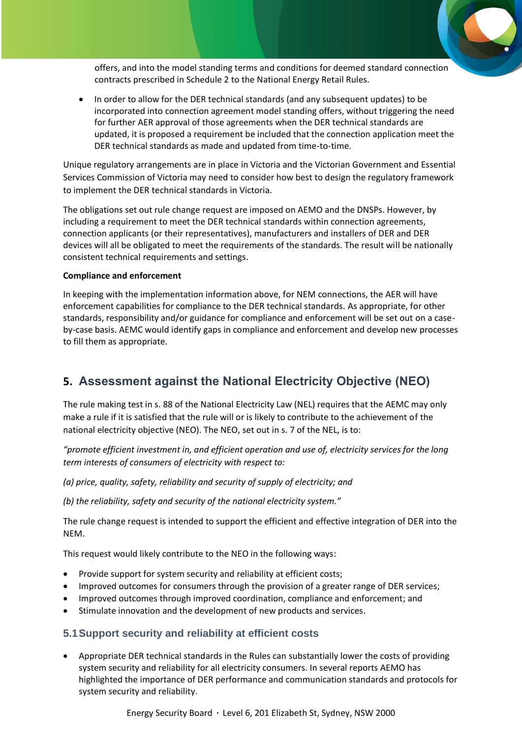offers, and into the model standing terms and conditions for deemed standard connection contracts prescribed in Schedule 2 to the National Energy Retail Rules.

• In order to allow for the DER technical standards (and any subsequent updates) to be incorporated into connection agreement model standing offers, without triggering the need for further AER approval of those agreements when the DER technical standards are updated, it is proposed a requirement be included that the connection application meet the DER technical standards as made and updated from time-to-time.

Unique regulatory arrangements are in place in Victoria and the Victorian Government and Essential Services Commission of Victoria may need to consider how best to design the regulatory framework to implement the DER technical standards in Victoria.

The obligations set out rule change request are imposed on AEMO and the DNSPs. However, by including a requirement to meet the DER technical standards within connection agreements, connection applicants (or their representatives), manufacturers and installers of DER and DER devices will all be obligated to meet the requirements of the standards. The result will be nationally consistent technical requirements and settings.

#### **Compliance and enforcement**

In keeping with the implementation information above, for NEM connections, the AER will have enforcement capabilities for compliance to the DER technical standards. As appropriate, for other standards, responsibility and/or guidance for compliance and enforcement will be set out on a caseby-case basis. AEMC would identify gaps in compliance and enforcement and develop new processes to fill them as appropriate.

# **5. Assessment against the National Electricity Objective (NEO)**

The rule making test in s. 88 of the National Electricity Law (NEL) requires that the AEMC may only make a rule if it is satisfied that the rule will or is likely to contribute to the achievement of the national electricity objective (NEO). The NEO, set out in s. 7 of the NEL, is to:

*"promote efficient investment in, and efficient operation and use of, electricity services for the long term interests of consumers of electricity with respect to:*

*(a) price, quality, safety, reliability and security of supply of electricity; and*

*(b) the reliability, safety and security of the national electricity system."*

The rule change request is intended to support the efficient and effective integration of DER into the NEM.

This request would likely contribute to the NEO in the following ways:

- Provide support for system security and reliability at efficient costs;
- Improved outcomes for consumers through the provision of a greater range of DER services;
- Improved outcomes through improved coordination, compliance and enforcement; and
- Stimulate innovation and the development of new products and services.

## **5.1Support security and reliability at efficient costs**

• Appropriate DER technical standards in the Rules can substantially lower the costs of providing system security and reliability for all electricity consumers. In several reports AEMO has highlighted the importance of DER performance and communication standards and protocols for system security and reliability.

Energy Security Board · Level 6, 201 Elizabeth St, Sydney, NSW 2000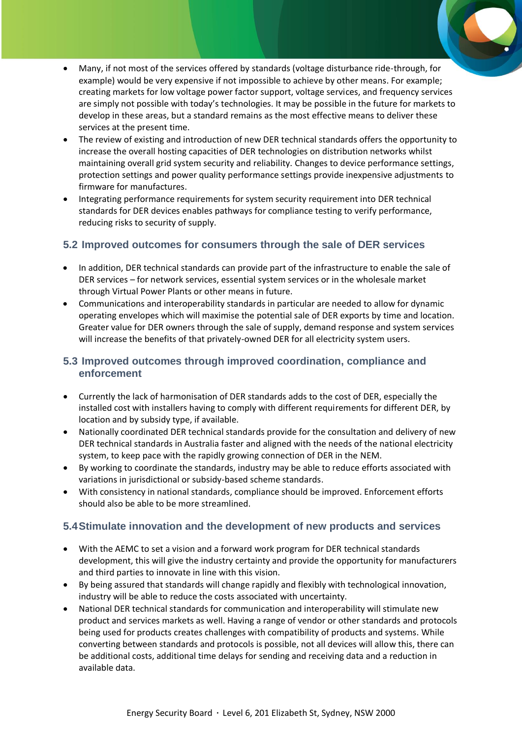- Many, if not most of the services offered by standards (voltage disturbance ride-through, for example) would be very expensive if not impossible to achieve by other means. For example; creating markets for low voltage power factor support, voltage services, and frequency services are simply not possible with today's technologies. It may be possible in the future for markets to develop in these areas, but a standard remains as the most effective means to deliver these services at the present time.
- The review of existing and introduction of new DER technical standards offers the opportunity to increase the overall hosting capacities of DER technologies on distribution networks whilst maintaining overall grid system security and reliability. Changes to device performance settings, protection settings and power quality performance settings provide inexpensive adjustments to firmware for manufactures.
- Integrating performance requirements for system security requirement into DER technical standards for DER devices enables pathways for compliance testing to verify performance, reducing risks to security of supply.

# **5.2 Improved outcomes for consumers through the sale of DER services**

- In addition, DER technical standards can provide part of the infrastructure to enable the sale of DER services – for network services, essential system services or in the wholesale market through Virtual Power Plants or other means in future.
- Communications and interoperability standards in particular are needed to allow for dynamic operating envelopes which will maximise the potential sale of DER exports by time and location. Greater value for DER owners through the sale of supply, demand response and system services will increase the benefits of that privately-owned DER for all electricity system users.

# **5.3 Improved outcomes through improved coordination, compliance and enforcement**

- Currently the lack of harmonisation of DER standards adds to the cost of DER, especially the installed cost with installers having to comply with different requirements for different DER, by location and by subsidy type, if available.
- Nationally coordinated DER technical standards provide for the consultation and delivery of new DER technical standards in Australia faster and aligned with the needs of the national electricity system, to keep pace with the rapidly growing connection of DER in the NEM.
- By working to coordinate the standards, industry may be able to reduce efforts associated with variations in jurisdictional or subsidy-based scheme standards.
- With consistency in national standards, compliance should be improved. Enforcement efforts should also be able to be more streamlined.

# **5.4Stimulate innovation and the development of new products and services**

- With the AEMC to set a vision and a forward work program for DER technical standards development, this will give the industry certainty and provide the opportunity for manufacturers and third parties to innovate in line with this vision.
- By being assured that standards will change rapidly and flexibly with technological innovation, industry will be able to reduce the costs associated with uncertainty.
- National DER technical standards for communication and interoperability will stimulate new product and services markets as well. Having a range of vendor or other standards and protocols being used for products creates challenges with compatibility of products and systems. While converting between standards and protocols is possible, not all devices will allow this, there can be additional costs, additional time delays for sending and receiving data and a reduction in available data.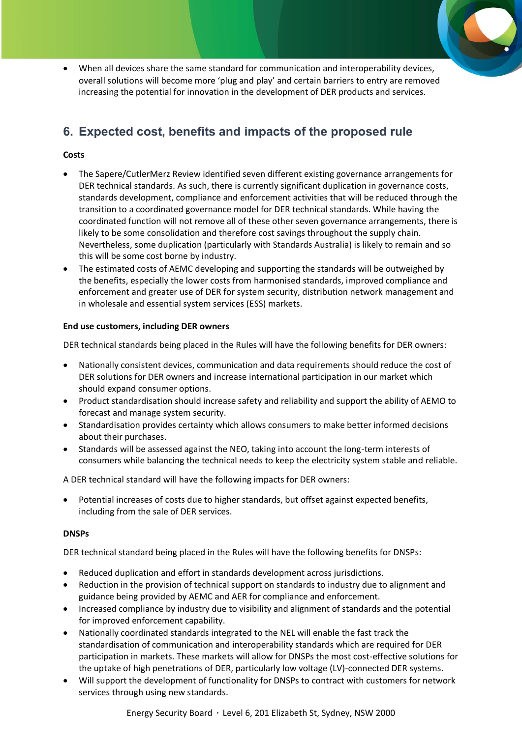• When all devices share the same standard for communication and interoperability devices, overall solutions will become more 'plug and play' and certain barriers to entry are removed increasing the potential for innovation in the development of DER products and services.

# **6. Expected cost, benefits and impacts of the proposed rule**

### **Costs**

- The Sapere/CutlerMerz Review identified seven different existing governance arrangements for DER technical standards. As such, there is currently significant duplication in governance costs, standards development, compliance and enforcement activities that will be reduced through the transition to a coordinated governance model for DER technical standards. While having the coordinated function will not remove all of these other seven governance arrangements, there is likely to be some consolidation and therefore cost savings throughout the supply chain. Nevertheless, some duplication (particularly with Standards Australia) is likely to remain and so this will be some cost borne by industry.
- The estimated costs of AEMC developing and supporting the standards will be outweighed by the benefits, especially the lower costs from harmonised standards, improved compliance and enforcement and greater use of DER for system security, distribution network management and in wholesale and essential system services (ESS) markets.

### **End use customers, including DER owners**

DER technical standards being placed in the Rules will have the following benefits for DER owners:

- Nationally consistent devices, communication and data requirements should reduce the cost of DER solutions for DER owners and increase international participation in our market which should expand consumer options.
- Product standardisation should increase safety and reliability and support the ability of AEMO to forecast and manage system security.
- Standardisation provides certainty which allows consumers to make better informed decisions about their purchases.
- Standards will be assessed against the NEO, taking into account the long-term interests of consumers while balancing the technical needs to keep the electricity system stable and reliable.

A DER technical standard will have the following impacts for DER owners:

• Potential increases of costs due to higher standards, but offset against expected benefits, including from the sale of DER services.

### **DNSPs**

DER technical standard being placed in the Rules will have the following benefits for DNSPs:

- Reduced duplication and effort in standards development across jurisdictions.
- Reduction in the provision of technical support on standards to industry due to alignment and guidance being provided by AEMC and AER for compliance and enforcement.
- Increased compliance by industry due to visibility and alignment of standards and the potential for improved enforcement capability.
- Nationally coordinated standards integrated to the NEL will enable the fast track the standardisation of communication and interoperability standards which are required for DER participation in markets. These markets will allow for DNSPs the most cost-effective solutions for the uptake of high penetrations of DER, particularly low voltage (LV)-connected DER systems.
- Will support the development of functionality for DNSPs to contract with customers for network services through using new standards.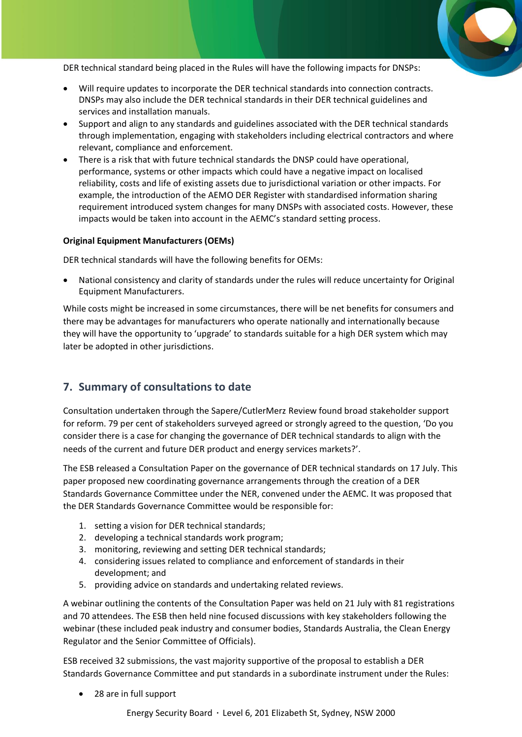DER technical standard being placed in the Rules will have the following impacts for DNSPs:

- Will require updates to incorporate the DER technical standards into connection contracts. DNSPs may also include the DER technical standards in their DER technical guidelines and services and installation manuals.
- Support and align to any standards and guidelines associated with the DER technical standards through implementation, engaging with stakeholders including electrical contractors and where relevant, compliance and enforcement.
- There is a risk that with future technical standards the DNSP could have operational, performance, systems or other impacts which could have a negative impact on localised reliability, costs and life of existing assets due to jurisdictional variation or other impacts. For example, the introduction of the AEMO DER Register with standardised information sharing requirement introduced system changes for many DNSPs with associated costs. However, these impacts would be taken into account in the AEMC's standard setting process.

#### **Original Equipment Manufacturers (OEMs)**

DER technical standards will have the following benefits for OEMs:

• National consistency and clarity of standards under the rules will reduce uncertainty for Original Equipment Manufacturers.

While costs might be increased in some circumstances, there will be net benefits for consumers and there may be advantages for manufacturers who operate nationally and internationally because they will have the opportunity to 'upgrade' to standards suitable for a high DER system which may later be adopted in other jurisdictions.

# **7. Summary of consultations to date**

Consultation undertaken through the Sapere/CutlerMerz Review found broad stakeholder support for reform. 79 per cent of stakeholders surveyed agreed or strongly agreed to the question, 'Do you consider there is a case for changing the governance of DER technical standards to align with the needs of the current and future DER product and energy services markets?'.

The ESB released a Consultation Paper on the governance of DER technical standards on 17 July. This paper proposed new coordinating governance arrangements through the creation of a DER Standards Governance Committee under the NER, convened under the AEMC. It was proposed that the DER Standards Governance Committee would be responsible for:

- 1. setting a vision for DER technical standards;
- 2. developing a technical standards work program;
- 3. monitoring, reviewing and setting DER technical standards;
- 4. considering issues related to compliance and enforcement of standards in their development; and
- 5. providing advice on standards and undertaking related reviews.

A webinar outlining the contents of the Consultation Paper was held on 21 July with 81 registrations and 70 attendees. The ESB then held nine focused discussions with key stakeholders following the webinar (these included peak industry and consumer bodies, Standards Australia, the Clean Energy Regulator and the Senior Committee of Officials).

ESB received 32 submissions, the vast majority supportive of the proposal to establish a DER Standards Governance Committee and put standards in a subordinate instrument under the Rules:

• 28 are in full support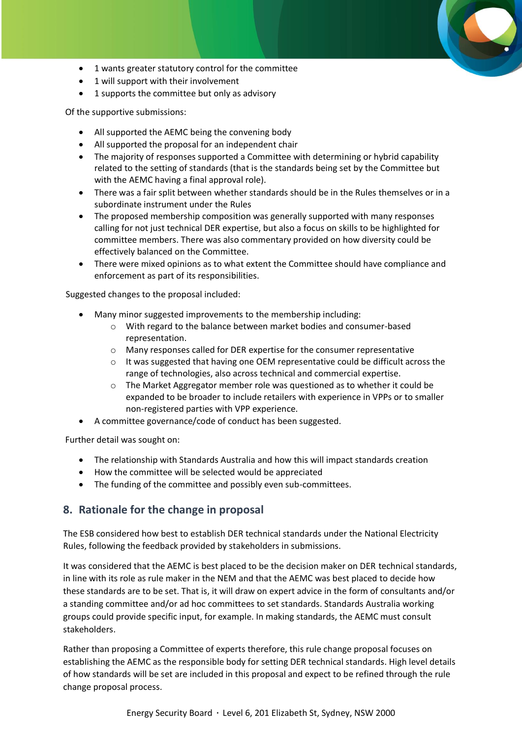- 1 wants greater statutory control for the committee
- 1 will support with their involvement
- 1 supports the committee but only as advisory

Of the supportive submissions:

- All supported the AEMC being the convening body
- All supported the proposal for an independent chair
- The majority of responses supported a Committee with determining or hybrid capability related to the setting of standards (that is the standards being set by the Committee but with the AEMC having a final approval role).
- There was a fair split between whether standards should be in the Rules themselves or in a subordinate instrument under the Rules
- The proposed membership composition was generally supported with many responses calling for not just technical DER expertise, but also a focus on skills to be highlighted for committee members. There was also commentary provided on how diversity could be effectively balanced on the Committee.
- There were mixed opinions as to what extent the Committee should have compliance and enforcement as part of its responsibilities.

Suggested changes to the proposal included:

- Many minor suggested improvements to the membership including:
	- o With regard to the balance between market bodies and consumer-based representation.
	- o Many responses called for DER expertise for the consumer representative
	- o It was suggested that having one OEM representative could be difficult across the range of technologies, also across technical and commercial expertise.
	- o The Market Aggregator member role was questioned as to whether it could be expanded to be broader to include retailers with experience in VPPs or to smaller non-registered parties with VPP experience.
- A committee governance/code of conduct has been suggested.

Further detail was sought on:

- The relationship with Standards Australia and how this will impact standards creation
- How the committee will be selected would be appreciated
- The funding of the committee and possibly even sub-committees.

# **8. Rationale for the change in proposal**

The ESB considered how best to establish DER technical standards under the National Electricity Rules, following the feedback provided by stakeholders in submissions.

It was considered that the AEMC is best placed to be the decision maker on DER technical standards, in line with its role as rule maker in the NEM and that the AEMC was best placed to decide how these standards are to be set. That is, it will draw on expert advice in the form of consultants and/or a standing committee and/or ad hoc committees to set standards. Standards Australia working groups could provide specific input, for example. In making standards, the AEMC must consult stakeholders.

Rather than proposing a Committee of experts therefore, this rule change proposal focuses on establishing the AEMC as the responsible body for setting DER technical standards. High level details of how standards will be set are included in this proposal and expect to be refined through the rule change proposal process.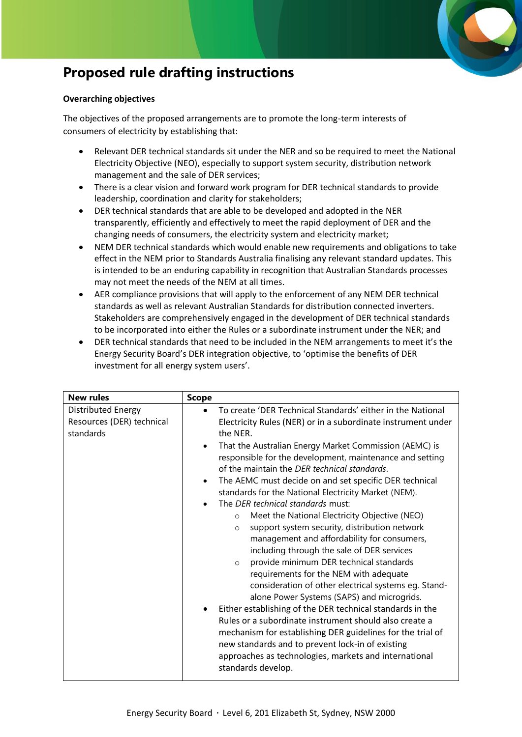

# **Proposed rule drafting instructions**

### **Overarching objectives**

The objectives of the proposed arrangements are to promote the long-term interests of consumers of electricity by establishing that:

- Relevant DER technical standards sit under the NER and so be required to meet the National Electricity Objective (NEO), especially to support system security, distribution network management and the sale of DER services;
- There is a clear vision and forward work program for DER technical standards to provide leadership, coordination and clarity for stakeholders;
- DER technical standards that are able to be developed and adopted in the NER transparently, efficiently and effectively to meet the rapid deployment of DER and the changing needs of consumers, the electricity system and electricity market;
- NEM DER technical standards which would enable new requirements and obligations to take effect in the NEM prior to Standards Australia finalising any relevant standard updates. This is intended to be an enduring capability in recognition that Australian Standards processes may not meet the needs of the NEM at all times.
- AER compliance provisions that will apply to the enforcement of any NEM DER technical standards as well as relevant Australian Standards for distribution connected inverters. Stakeholders are comprehensively engaged in the development of DER technical standards to be incorporated into either the Rules or a subordinate instrument under the NER; and
- DER technical standards that need to be included in the NEM arrangements to meet it's the Energy Security Board's DER integration objective, to 'optimise the benefits of DER investment for all energy system users'.

| <b>New rules</b>                                             | <b>Scope</b>                                                                                                                                                                                                                                                                                                                                                                                                                                                                                                                                                                                                                                                                                                                                                                                                                                                                                                                                                                                                                                                                                                                                                                                                                               |
|--------------------------------------------------------------|--------------------------------------------------------------------------------------------------------------------------------------------------------------------------------------------------------------------------------------------------------------------------------------------------------------------------------------------------------------------------------------------------------------------------------------------------------------------------------------------------------------------------------------------------------------------------------------------------------------------------------------------------------------------------------------------------------------------------------------------------------------------------------------------------------------------------------------------------------------------------------------------------------------------------------------------------------------------------------------------------------------------------------------------------------------------------------------------------------------------------------------------------------------------------------------------------------------------------------------------|
| Distributed Energy<br>Resources (DER) technical<br>standards | To create 'DER Technical Standards' either in the National<br>Electricity Rules (NER) or in a subordinate instrument under<br>the NER.<br>That the Australian Energy Market Commission (AEMC) is<br>responsible for the development, maintenance and setting<br>of the maintain the DER technical standards.<br>The AEMC must decide on and set specific DER technical<br>$\bullet$<br>standards for the National Electricity Market (NEM).<br>The <i>DER</i> technical standards must:<br>Meet the National Electricity Objective (NEO)<br>$\circ$<br>support system security, distribution network<br>$\circ$<br>management and affordability for consumers,<br>including through the sale of DER services<br>provide minimum DER technical standards<br>$\circ$<br>requirements for the NEM with adequate<br>consideration of other electrical systems eg. Stand-<br>alone Power Systems (SAPS) and microgrids.<br>Either establishing of the DER technical standards in the<br>Rules or a subordinate instrument should also create a<br>mechanism for establishing DER guidelines for the trial of<br>new standards and to prevent lock-in of existing<br>approaches as technologies, markets and international<br>standards develop. |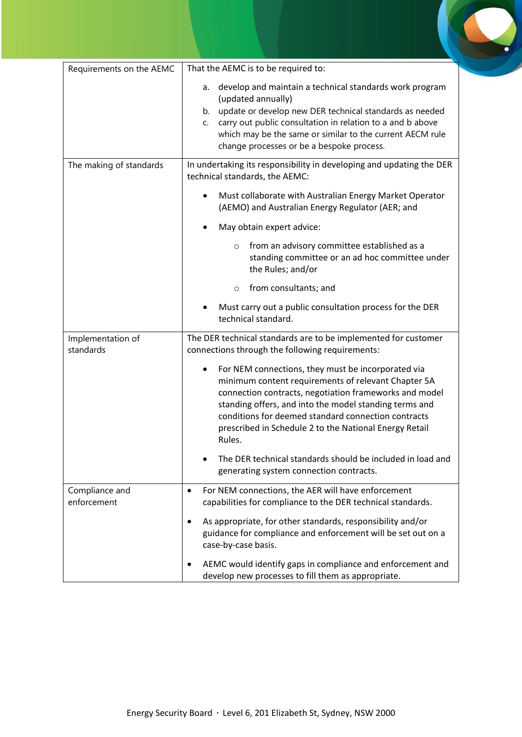| Requirements on the AEMC       | That the AEMC is to be required to:                                                                                                                                                                                                                                                                                                                      |
|--------------------------------|----------------------------------------------------------------------------------------------------------------------------------------------------------------------------------------------------------------------------------------------------------------------------------------------------------------------------------------------------------|
|                                | a. develop and maintain a technical standards work program<br>(updated annually)<br>b. update or develop new DER technical standards as needed<br>carry out public consultation in relation to a and b above<br>C.<br>which may be the same or similar to the current AECM rule<br>change processes or be a bespoke process.                             |
| The making of standards        | In undertaking its responsibility in developing and updating the DER<br>technical standards, the AEMC:                                                                                                                                                                                                                                                   |
|                                | Must collaborate with Australian Energy Market Operator<br>(AEMO) and Australian Energy Regulator (AER; and                                                                                                                                                                                                                                              |
|                                | May obtain expert advice:                                                                                                                                                                                                                                                                                                                                |
|                                | from an advisory committee established as a<br>$\circ$<br>standing committee or an ad hoc committee under<br>the Rules; and/or                                                                                                                                                                                                                           |
|                                | from consultants; and<br>$\circ$                                                                                                                                                                                                                                                                                                                         |
|                                | Must carry out a public consultation process for the DER<br>technical standard.                                                                                                                                                                                                                                                                          |
| Implementation of<br>standards | The DER technical standards are to be implemented for customer<br>connections through the following requirements:                                                                                                                                                                                                                                        |
|                                | For NEM connections, they must be incorporated via<br>minimum content requirements of relevant Chapter 5A<br>connection contracts, negotiation frameworks and model<br>standing offers, and into the model standing terms and<br>conditions for deemed standard connection contracts<br>prescribed in Schedule 2 to the National Energy Retail<br>Rules. |
|                                | The DER technical standards should be included in load and<br>generating system connection contracts.                                                                                                                                                                                                                                                    |
| Compliance and<br>enforcement  | For NEM connections, the AER will have enforcement<br>$\bullet$<br>capabilities for compliance to the DER technical standards.                                                                                                                                                                                                                           |
|                                | As appropriate, for other standards, responsibility and/or<br>guidance for compliance and enforcement will be set out on a<br>case-by-case basis.                                                                                                                                                                                                        |
|                                | AEMC would identify gaps in compliance and enforcement and<br>develop new processes to fill them as appropriate.                                                                                                                                                                                                                                         |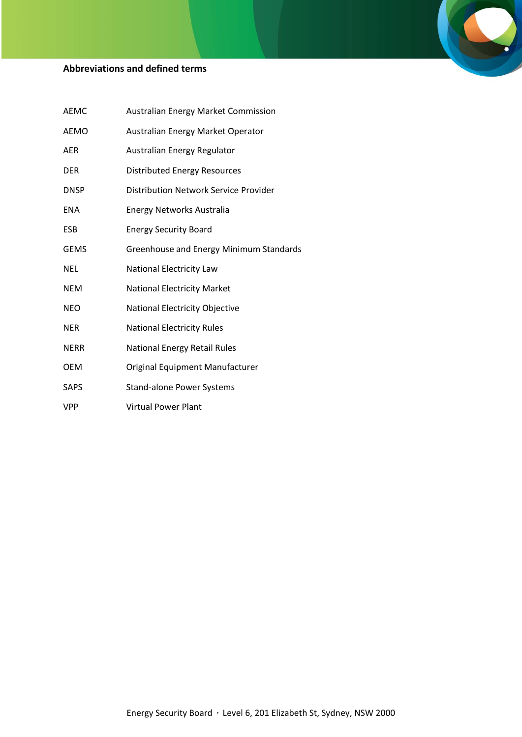# **Abbreviations and defined terms**

| <b>AEMC</b> | <b>Australian Energy Market Commission</b> |
|-------------|--------------------------------------------|
| <b>AEMO</b> | Australian Energy Market Operator          |
| <b>AER</b>  | Australian Energy Regulator                |
| <b>DER</b>  | <b>Distributed Energy Resources</b>        |
| <b>DNSP</b> | Distribution Network Service Provider      |
| <b>ENA</b>  | <b>Energy Networks Australia</b>           |
| <b>ESB</b>  | <b>Energy Security Board</b>               |
| <b>GEMS</b> | Greenhouse and Energy Minimum Standards    |
| <b>NEL</b>  | National Electricity Law                   |
| <b>NEM</b>  | <b>National Electricity Market</b>         |
| <b>NEO</b>  | National Electricity Objective             |
| <b>NER</b>  | <b>National Electricity Rules</b>          |
| <b>NERR</b> | <b>National Energy Retail Rules</b>        |
| <b>OEM</b>  | Original Equipment Manufacturer            |
| <b>SAPS</b> | <b>Stand-alone Power Systems</b>           |
| <b>VPP</b>  | <b>Virtual Power Plant</b>                 |